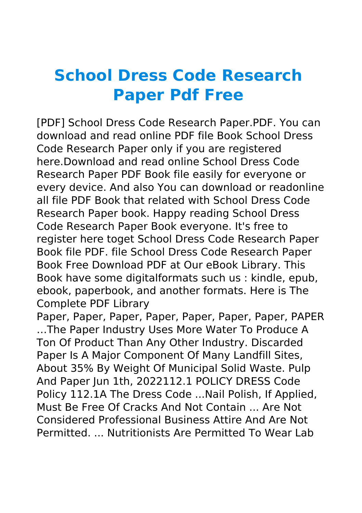## **School Dress Code Research Paper Pdf Free**

[PDF] School Dress Code Research Paper.PDF. You can download and read online PDF file Book School Dress Code Research Paper only if you are registered here.Download and read online School Dress Code Research Paper PDF Book file easily for everyone or every device. And also You can download or readonline all file PDF Book that related with School Dress Code Research Paper book. Happy reading School Dress Code Research Paper Book everyone. It's free to register here toget School Dress Code Research Paper Book file PDF. file School Dress Code Research Paper Book Free Download PDF at Our eBook Library. This Book have some digitalformats such us : kindle, epub, ebook, paperbook, and another formats. Here is The Complete PDF Library

Paper, Paper, Paper, Paper, Paper, Paper, Paper, PAPER …The Paper Industry Uses More Water To Produce A Ton Of Product Than Any Other Industry. Discarded Paper Is A Major Component Of Many Landfill Sites, About 35% By Weight Of Municipal Solid Waste. Pulp And Paper Jun 1th, 2022112.1 POLICY DRESS Code Policy 112.1A The Dress Code ...Nail Polish, If Applied, Must Be Free Of Cracks And Not Contain ... Are Not Considered Professional Business Attire And Are Not Permitted. ... Nutritionists Are Permitted To Wear Lab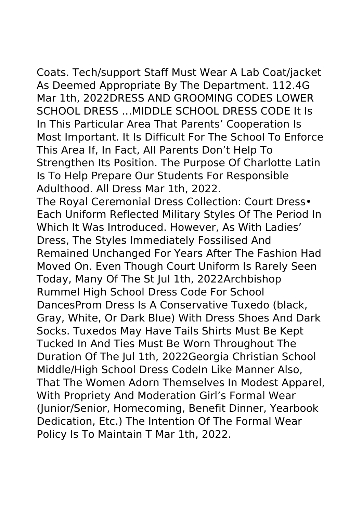Coats. Tech/support Staff Must Wear A Lab Coat/jacket As Deemed Appropriate By The Department. 112.4G Mar 1th, 2022DRESS AND GROOMING CODES LOWER SCHOOL DRESS …MIDDLE SCHOOL DRESS CODE It Is In This Particular Area That Parents' Cooperation Is Most Important. It Is Difficult For The School To Enforce This Area If, In Fact, All Parents Don't Help To Strengthen Its Position. The Purpose Of Charlotte Latin Is To Help Prepare Our Students For Responsible Adulthood. All Dress Mar 1th, 2022.

The Royal Ceremonial Dress Collection: Court Dress• Each Uniform Reflected Military Styles Of The Period In Which It Was Introduced. However, As With Ladies' Dress, The Styles Immediately Fossilised And Remained Unchanged For Years After The Fashion Had Moved On. Even Though Court Uniform Is Rarely Seen Today, Many Of The St Jul 1th, 2022Archbishop Rummel High School Dress Code For School DancesProm Dress Is A Conservative Tuxedo (black, Gray, White, Or Dark Blue) With Dress Shoes And Dark Socks. Tuxedos May Have Tails Shirts Must Be Kept Tucked In And Ties Must Be Worn Throughout The Duration Of The Jul 1th, 2022Georgia Christian School Middle/High School Dress CodeIn Like Manner Also, That The Women Adorn Themselves In Modest Apparel, With Propriety And Moderation Girl's Formal Wear (Junior/Senior, Homecoming, Benefit Dinner, Yearbook Dedication, Etc.) The Intention Of The Formal Wear Policy Is To Maintain T Mar 1th, 2022.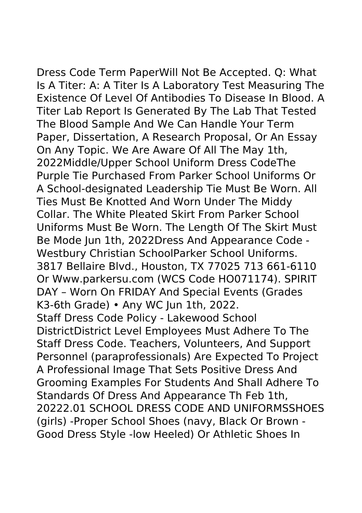Dress Code Term PaperWill Not Be Accepted. Q: What Is A Titer: A: A Titer Is A Laboratory Test Measuring The Existence Of Level Of Antibodies To Disease In Blood. A Titer Lab Report Is Generated By The Lab That Tested The Blood Sample And We Can Handle Your Term Paper, Dissertation, A Research Proposal, Or An Essay On Any Topic. We Are Aware Of All The May 1th, 2022Middle/Upper School Uniform Dress CodeThe Purple Tie Purchased From Parker School Uniforms Or A School-designated Leadership Tie Must Be Worn. All Ties Must Be Knotted And Worn Under The Middy Collar. The White Pleated Skirt From Parker School Uniforms Must Be Worn. The Length Of The Skirt Must Be Mode Jun 1th, 2022Dress And Appearance Code - Westbury Christian SchoolParker School Uniforms. 3817 Bellaire Blvd., Houston, TX 77025 713 661-6110 Or Www.parkersu.com (WCS Code HO071174). SPIRIT DAY – Worn On FRIDAY And Special Events (Grades K3-6th Grade) • Any WC Jun 1th, 2022. Staff Dress Code Policy - Lakewood School DistrictDistrict Level Employees Must Adhere To The Staff Dress Code. Teachers, Volunteers, And Support Personnel (paraprofessionals) Are Expected To Project A Professional Image That Sets Positive Dress And Grooming Examples For Students And Shall Adhere To Standards Of Dress And Appearance Th Feb 1th, 20222.01 SCHOOL DRESS CODE AND UNIFORMSSHOES (girls) -Proper School Shoes (navy, Black Or Brown - Good Dress Style -low Heeled) Or Athletic Shoes In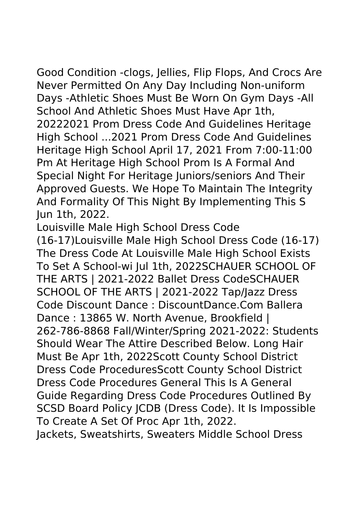Good Condition -clogs, Jellies, Flip Flops, And Crocs Are Never Permitted On Any Day Including Non-uniform Days -Athletic Shoes Must Be Worn On Gym Days -All School And Athletic Shoes Must Have Apr 1th, 20222021 Prom Dress Code And Guidelines Heritage High School ...2021 Prom Dress Code And Guidelines Heritage High School April 17, 2021 From 7:00-11:00 Pm At Heritage High School Prom Is A Formal And Special Night For Heritage Juniors/seniors And Their Approved Guests. We Hope To Maintain The Integrity And Formality Of This Night By Implementing This S Jun 1th, 2022.

Louisville Male High School Dress Code (16-17)Louisville Male High School Dress Code (16-17) The Dress Code At Louisville Male High School Exists To Set A School-wi Jul 1th, 2022SCHAUER SCHOOL OF THE ARTS | 2021-2022 Ballet Dress CodeSCHAUER SCHOOL OF THE ARTS | 2021-2022 Tap/Jazz Dress Code Discount Dance : DiscountDance.Com Ballera Dance: 13865 W. North Avenue, Brookfield | 262-786-8868 Fall/Winter/Spring 2021-2022: Students Should Wear The Attire Described Below. Long Hair Must Be Apr 1th, 2022Scott County School District Dress Code ProceduresScott County School District Dress Code Procedures General This Is A General Guide Regarding Dress Code Procedures Outlined By SCSD Board Policy JCDB (Dress Code). It Is Impossible To Create A Set Of Proc Apr 1th, 2022. Jackets, Sweatshirts, Sweaters Middle School Dress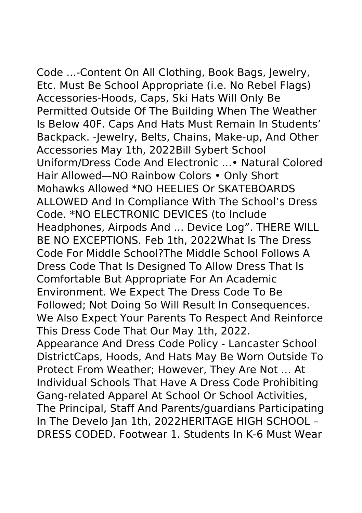Code ...-Content On All Clothing, Book Bags, Jewelry, Etc. Must Be School Appropriate (i.e. No Rebel Flags) Accessories-Hoods, Caps, Ski Hats Will Only Be Permitted Outside Of The Building When The Weather Is Below 40F. Caps And Hats Must Remain In Students' Backpack. -Jewelry, Belts, Chains, Make-up, And Other Accessories May 1th, 2022Bill Sybert School Uniform/Dress Code And Electronic ...• Natural Colored Hair Allowed—NO Rainbow Colors • Only Short Mohawks Allowed \*NO HEELIES Or SKATEBOARDS ALLOWED And In Compliance With The School's Dress Code. \*NO ELECTRONIC DEVICES (to Include Headphones, Airpods And ... Device Log". THERE WILL BE NO EXCEPTIONS. Feb 1th, 2022What Is The Dress Code For Middle School?The Middle School Follows A Dress Code That Is Designed To Allow Dress That Is Comfortable But Appropriate For An Academic Environment. We Expect The Dress Code To Be Followed; Not Doing So Will Result In Consequences. We Also Expect Your Parents To Respect And Reinforce This Dress Code That Our May 1th, 2022. Appearance And Dress Code Policy - Lancaster School DistrictCaps, Hoods, And Hats May Be Worn Outside To Protect From Weather; However, They Are Not ... At Individual Schools That Have A Dress Code Prohibiting Gang-related Apparel At School Or School Activities, The Principal, Staff And Parents/guardians Participating In The Develo Jan 1th, 2022HERITAGE HIGH SCHOOL – DRESS CODED. Footwear 1. Students In K-6 Must Wear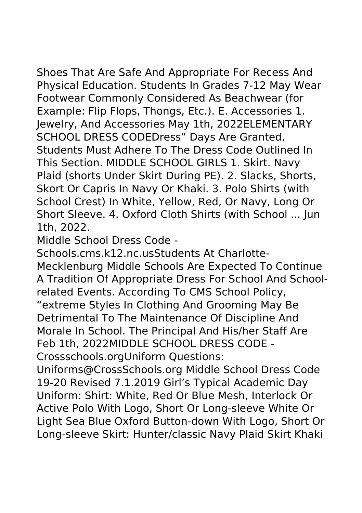Shoes That Are Safe And Appropriate For Recess And Physical Education. Students In Grades 7-12 May Wear Footwear Commonly Considered As Beachwear (for Example: Flip Flops, Thongs, Etc.). E. Accessories 1. Jewelry, And Accessories May 1th, 2022ELEMENTARY SCHOOL DRESS CODEDress" Days Are Granted, Students Must Adhere To The Dress Code Outlined In This Section. MIDDLE SCHOOL GIRLS 1. Skirt. Navy Plaid (shorts Under Skirt During PE). 2. Slacks, Shorts, Skort Or Capris In Navy Or Khaki. 3. Polo Shirts (with School Crest) In White, Yellow, Red, Or Navy, Long Or Short Sleeve. 4. Oxford Cloth Shirts (with School ... Jun 1th, 2022.

Middle School Dress Code -

Schools.cms.k12.nc.usStudents At Charlotte-Mecklenburg Middle Schools Are Expected To Continue A Tradition Of Appropriate Dress For School And Schoolrelated Events. According To CMS School Policy, "extreme Styles In Clothing And Grooming May Be Detrimental To The Maintenance Of Discipline And Morale In School. The Principal And His/her Staff Are Feb 1th, 2022MIDDLE SCHOOL DRESS CODE - Crossschools.orgUniform Questions:

Uniforms@CrossSchools.org Middle School Dress Code 19-20 Revised 7.1.2019 Girl's Typical Academic Day Uniform: Shirt: White, Red Or Blue Mesh, Interlock Or Active Polo With Logo, Short Or Long-sleeve White Or Light Sea Blue Oxford Button-down With Logo, Short Or Long-sleeve Skirt: Hunter/classic Navy Plaid Skirt Khaki